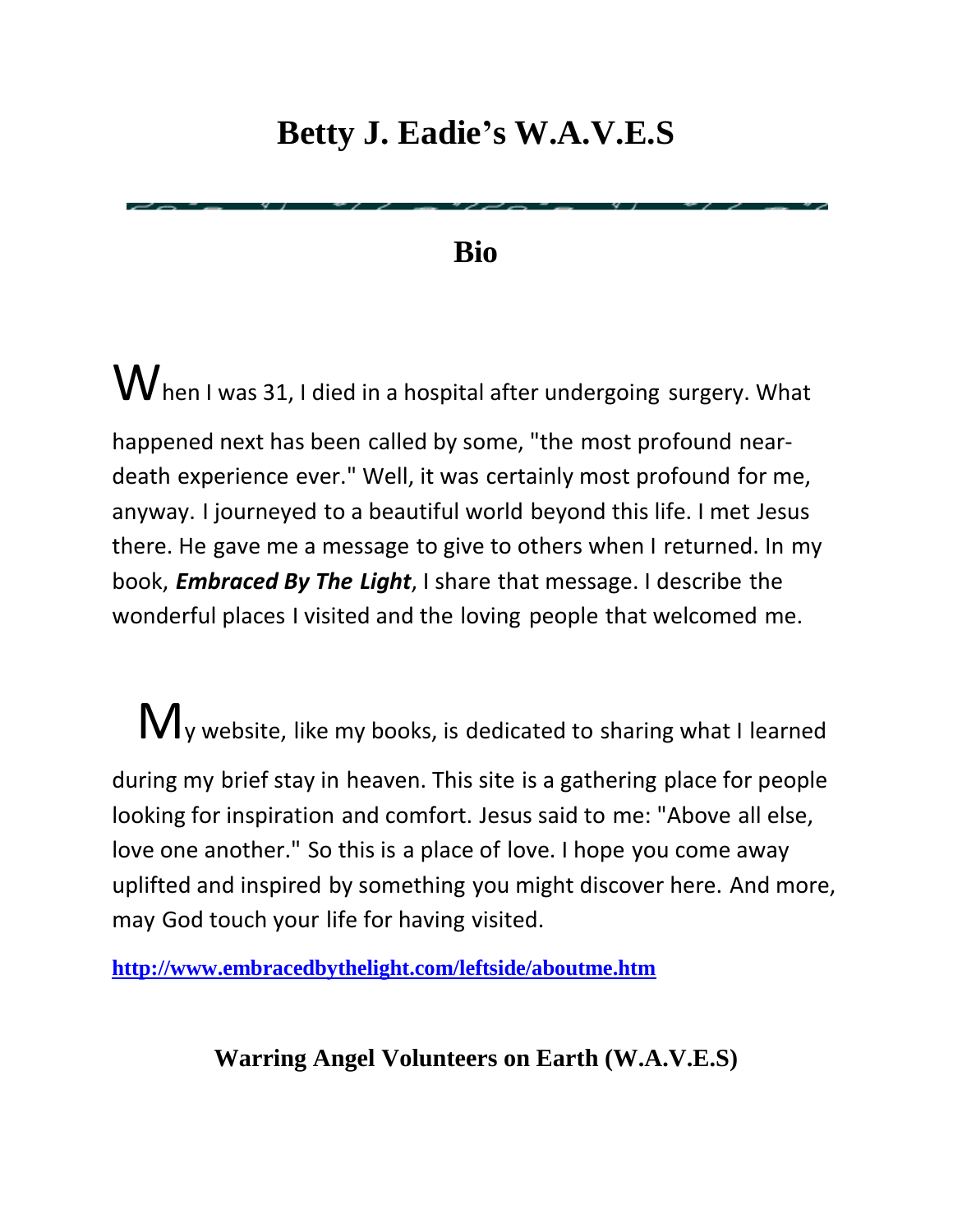## **Betty J. Eadie's W.A.V.E.S**

**Bio**

 $\mathbf W$  hen I was 31, I died in a hospital after undergoing surgery. What happened next has been called by some, "the most profound neardeath experience ever." Well, it was certainly most profound for me, anyway. I journeyed to a beautiful world beyond this life. I met Jesus there. He gave me a message to give to others when I returned. In my book, *Embraced By The Light*, I share that message. I describe the wonderful places I visited and the loving people that welcomed me.

 $M_{y}$  website, like my books, is dedicated to sharing what I learned during my brief stay in heaven. This site is a gathering place for people looking for inspiration and comfort. Jesus said to me: "Above all else, love one another." So this is a place of love. I hope you come away uplifted and inspired by something you might discover here. And more, may God touch your life for having visited.

**<http://www.embracedbythelight.com/leftside/aboutme.htm>**

**Warring Angel Volunteers on Earth (W.A.V.E.S)**